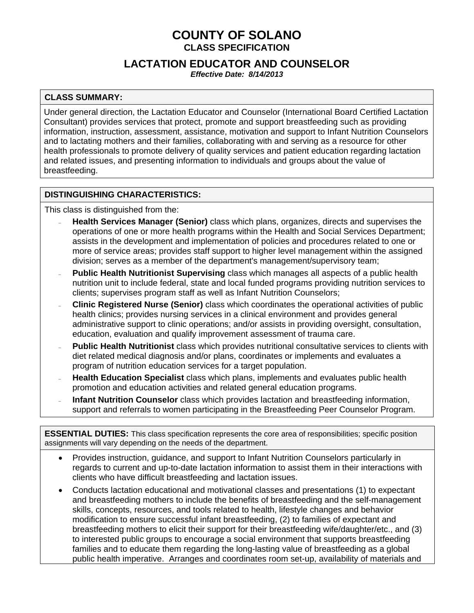# **COUNTY OF SOLANO CLASS SPECIFICATION**

## **LACTATION EDUCATOR AND COUNSELOR**

*Effective Date: 8/14/2013* 

### **CLASS SUMMARY:**

Under general direction, the Lactation Educator and Counselor (International Board Certified Lactation Consultant) provides services that protect, promote and support breastfeeding such as providing information, instruction, assessment, assistance, motivation and support to Infant Nutrition Counselors and to lactating mothers and their families, collaborating with and serving as a resource for other health professionals to promote delivery of quality services and patient education regarding lactation and related issues, and presenting information to individuals and groups about the value of breastfeeding.

### **DISTINGUISHING CHARACTERISTICS:**

This class is distinguished from the:

- **Health Services Manager (Senior)** class which plans, organizes, directs and supervises the operations of one or more health programs within the Health and Social Services Department; assists in the development and implementation of policies and procedures related to one or more of service areas; provides staff support to higher level management within the assigned division; serves as a member of the department's management/supervisory team;
- **Public Health Nutritionist Supervising** class which manages all aspects of a public health nutrition unit to include federal, state and local funded programs providing nutrition services to clients; supervises program staff as well as Infant Nutrition Counselors;
- **Clinic Registered Nurse (Senior)** class which coordinates the operational activities of public health clinics; provides nursing services in a clinical environment and provides general administrative support to clinic operations; and/or assists in providing oversight, consultation, education, evaluation and qualify improvement assessment of trauma care.
- **Public Health Nutritionist** class which provides nutritional consultative services to clients with diet related medical diagnosis and/or plans, coordinates or implements and evaluates a program of nutrition education services for a target population.
- **Health Education Specialist** class which plans, implements and evaluates public health promotion and education activities and related general education programs.
- **Infant Nutrition Counselor** class which provides lactation and breastfeeding information, support and referrals to women participating in the Breastfeeding Peer Counselor Program.

**ESSENTIAL DUTIES:** This class specification represents the core area of responsibilities; specific position assignments will vary depending on the needs of the department.

- Provides instruction, guidance, and support to Infant Nutrition Counselors particularly in regards to current and up-to-date lactation information to assist them in their interactions with clients who have difficult breastfeeding and lactation issues.
- Conducts lactation educational and motivational classes and presentations (1) to expectant and breastfeeding mothers to include the benefits of breastfeeding and the self-management skills, concepts, resources, and tools related to health, lifestyle changes and behavior modification to ensure successful infant breastfeeding, (2) to families of expectant and breastfeeding mothers to elicit their support for their breastfeeding wife/daughter/etc., and (3) to interested public groups to encourage a social environment that supports breastfeeding families and to educate them regarding the long-lasting value of breastfeeding as a global public health imperative. Arranges and coordinates room set-up, availability of materials and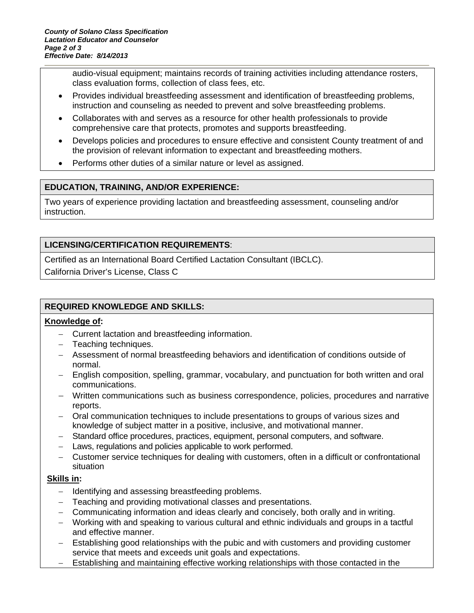audio-visual equipment; maintains records of training activities including attendance rosters, class evaluation forms, collection of class fees, etc.

- Provides individual breastfeeding assessment and identification of breastfeeding problems, instruction and counseling as needed to prevent and solve breastfeeding problems.
- Collaborates with and serves as a resource for other health professionals to provide comprehensive care that protects, promotes and supports breastfeeding.
- Develops policies and procedures to ensure effective and consistent County treatment of and the provision of relevant information to expectant and breastfeeding mothers.
- Performs other duties of a similar nature or level as assigned.

### **EDUCATION, TRAINING, AND/OR EXPERIENCE:**

Two years of experience providing lactation and breastfeeding assessment, counseling and/or instruction.

### **LICENSING/CERTIFICATION REQUIREMENTS**:

Certified as an International Board Certified Lactation Consultant (IBCLC).

California Driver's License, Class C

### **REQUIRED KNOWLEDGE AND SKILLS:**

### **Knowledge of:**

- Current lactation and breastfeeding information.
- Teaching techniques.
- Assessment of normal breastfeeding behaviors and identification of conditions outside of normal.
- English composition, spelling, grammar, vocabulary, and punctuation for both written and oral communications.
- Written communications such as business correspondence, policies, procedures and narrative reports.
- Oral communication techniques to include presentations to groups of various sizes and knowledge of subject matter in a positive, inclusive, and motivational manner.
- Standard office procedures, practices, equipment, personal computers, and software.
- Laws, regulations and policies applicable to work performed.
- Customer service techniques for dealing with customers, often in a difficult or confrontational situation

### **Skills in:**

- Identifying and assessing breastfeeding problems.
- Teaching and providing motivational classes and presentations.
- Communicating information and ideas clearly and concisely, both orally and in writing.
- Working with and speaking to various cultural and ethnic individuals and groups in a tactful and effective manner.
- Establishing good relationships with the pubic and with customers and providing customer service that meets and exceeds unit goals and expectations.
- Establishing and maintaining effective working relationships with those contacted in the